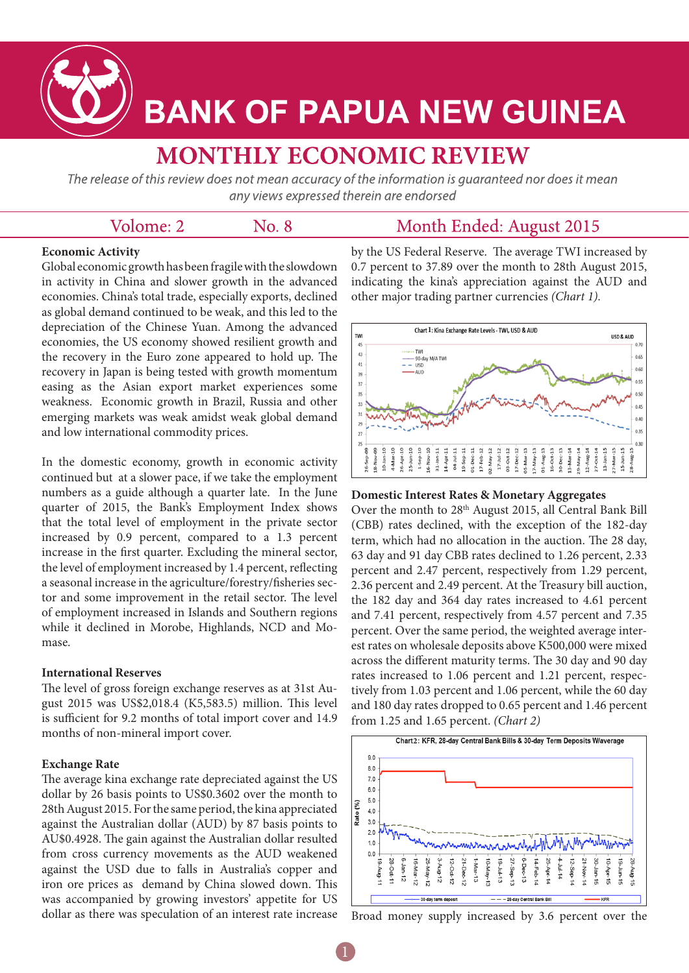

# **BANK OF PAPUA NEW GUINEA**

# **MONTHLY ECONOMIC REVIEW**

The release of this review does not mean accuracy of the information is guaranteed nor does it mean any views expressed therein are endorsed

| Volome: 2 | No. 8 | Month Ended: August 2015 |
|-----------|-------|--------------------------|
|-----------|-------|--------------------------|

#### **Economic Activity**

Global economic growth has been fragile with the slowdown in activity in China and slower growth in the advanced economies. China's total trade, especially exports, declined as global demand continued to be weak, and this led to the depreciation of the Chinese Yuan. Among the advanced economies, the US economy showed resilient growth and the recovery in the Euro zone appeared to hold up. The recovery in Japan is being tested with growth momentum easing as the Asian export market experiences some weakness. Economic growth in Brazil, Russia and other emerging markets was weak amidst weak global demand and low international commodity prices.

In the domestic economy, growth in economic activity continued but at a slower pace, if we take the employment numbers as a guide although a quarter late. In the June quarter of 2015, the Bank's Employment Index shows that the total level of employment in the private sector increased by 0.9 percent, compared to a 1.3 percent increase in the first quarter. Excluding the mineral sector, the level of employment increased by 1.4 percent, reflecting a seasonal increase in the agriculture/forestry/fisheries sector and some improvement in the retail sector. The level of employment increased in Islands and Southern regions while it declined in Morobe, Highlands, NCD and Momase.

#### **International Reserves**

The level of gross foreign exchange reserves as at 31st August 2015 was US\$2,018.4 (K5,583.5) million. This level is sufficient for 9.2 months of total import cover and 14.9 months of non-mineral import cover.

#### **Exchange Rate**

The average kina exchange rate depreciated against the US dollar by 26 basis points to US\$0.3602 over the month to 28th August 2015. For the same period, the kina appreciated against the Australian dollar (AUD) by 87 basis points to AU\$0.4928. The gain against the Australian dollar resulted from cross currency movements as the AUD weakened against the USD due to falls in Australia's copper and iron ore prices as demand by China slowed down. This was accompanied by growing investors' appetite for US dollar as there was speculation of an interest rate increase

by the US Federal Reserve. The average TWI increased by 0.7 percent to 37.89 over the month to 28th August 2015, indicating the kina's appreciation against the AUD and other major trading partner currencies *(Chart 1).*



#### **Domestic Interest Rates & Monetary Aggregates**

Over the month to 28<sup>th</sup> August 2015, all Central Bank Bill (CBB) rates declined, with the exception of the 182-day term, which had no allocation in the auction. The 28 day, 63 day and 91 day CBB rates declined to 1.26 percent, 2.33 percent and 2.47 percent, respectively from 1.29 percent, 2.36 percent and 2.49 percent. At the Treasury bill auction, the 182 day and 364 day rates increased to 4.61 percent and 7.41 percent, respectively from 4.57 percent and 7.35 percent. Over the same period, the weighted average interest rates on wholesale deposits above K500,000 were mixed across the different maturity terms. The 30 day and 90 day rates increased to 1.06 percent and 1.21 percent, respectively from 1.03 percent and 1.06 percent, while the 60 day and 180 day rates dropped to 0.65 percent and 1.46 percent from 1.25 and 1.65 percent. *(Chart 2)*



Broad money supply increased by 3.6 percent over the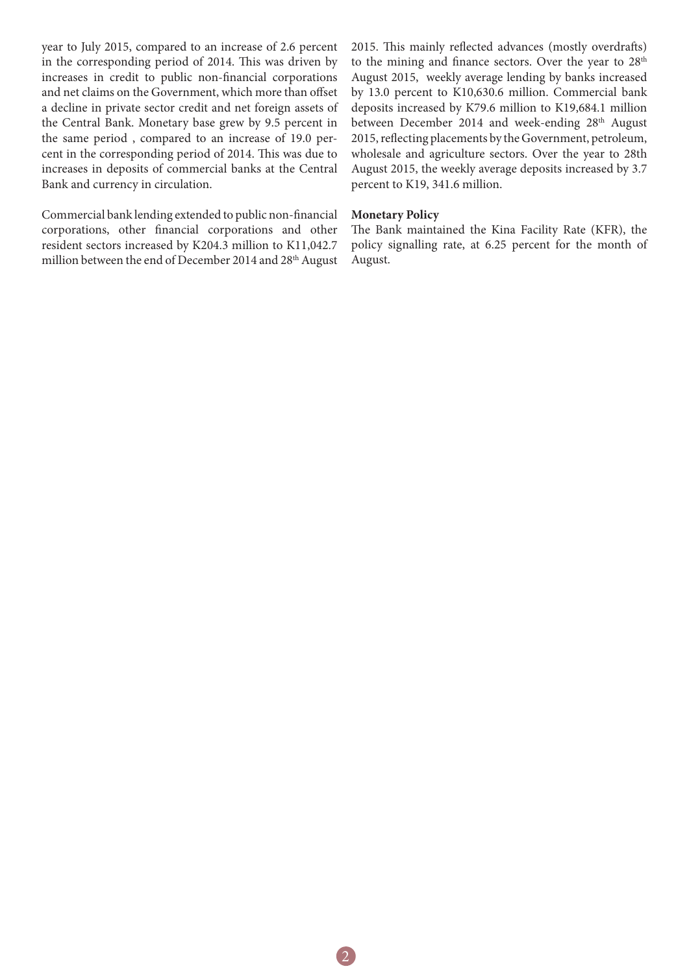year to July 2015, compared to an increase of 2.6 percent in the corresponding period of 2014. This was driven by increases in credit to public non-financial corporations and net claims on the Government, which more than offset a decline in private sector credit and net foreign assets of the Central Bank. Monetary base grew by 9.5 percent in the same period , compared to an increase of 19.0 percent in the corresponding period of 2014. This was due to increases in deposits of commercial banks at the Central Bank and currency in circulation.

Commercial bank lending extended to public non-financial corporations, other financial corporations and other resident sectors increased by K204.3 million to K11,042.7 million between the end of December 2014 and 28<sup>th</sup> August 2015. This mainly reflected advances (mostly overdrafts) to the mining and finance sectors. Over the year to 28<sup>th</sup> August 2015, weekly average lending by banks increased by 13.0 percent to K10,630.6 million. Commercial bank deposits increased by K79.6 million to K19,684.1 million between December 2014 and week-ending 28<sup>th</sup> August 2015, reflecting placements by the Government, petroleum, wholesale and agriculture sectors. Over the year to 28th August 2015, the weekly average deposits increased by 3.7 percent to K19, 341.6 million.

### **Monetary Policy**

The Bank maintained the Kina Facility Rate (KFR), the policy signalling rate, at 6.25 percent for the month of August.